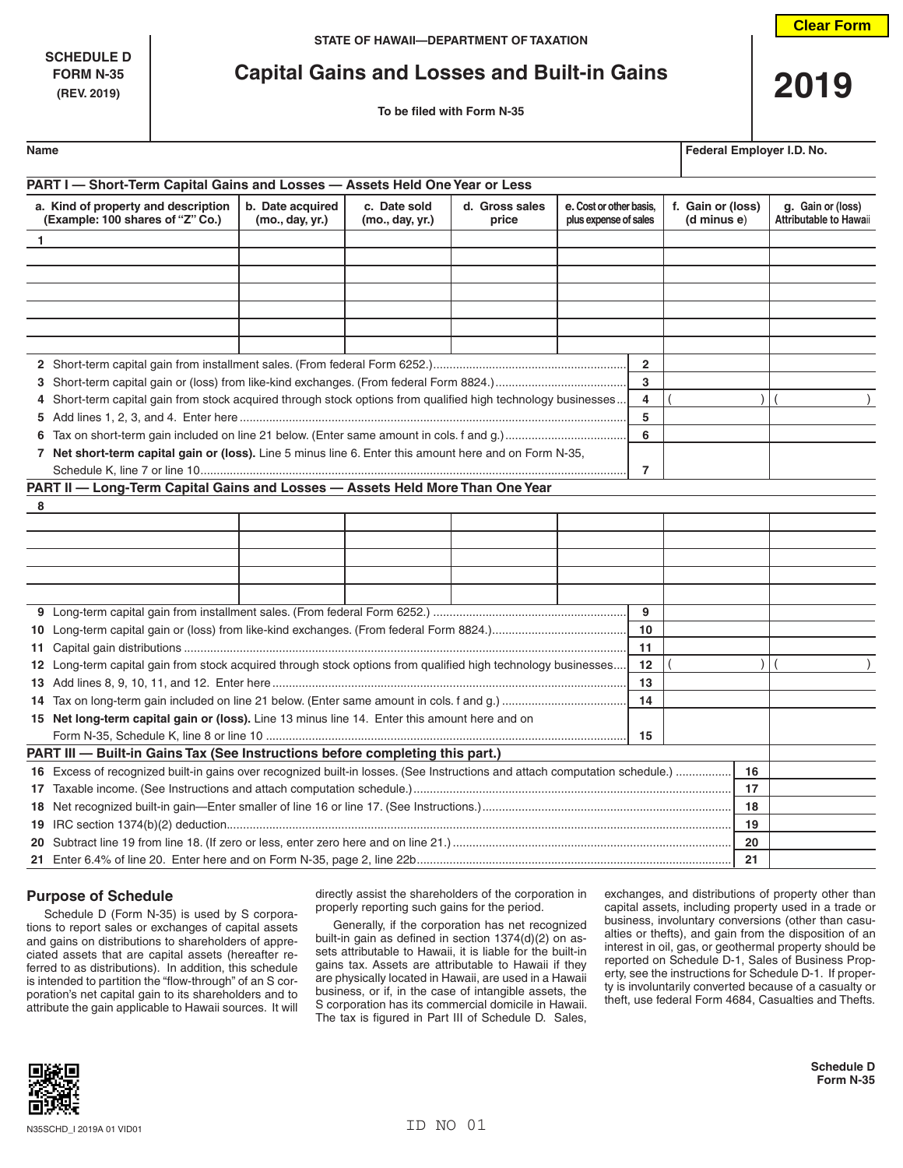**SCHEDULE D**

# **FORM N-35 Capital Gains and Losses and Built-in Gains 2019**

| Name | Federal Employer I.D. No. |  |  |
|------|---------------------------|--|--|
|      |                           |  |  |

| PART I - Short-Term Capital Gains and Losses - Assets Held One Year or Less                                                 |                                     |                                 |                         |                                                  |                                  |                                                    |
|-----------------------------------------------------------------------------------------------------------------------------|-------------------------------------|---------------------------------|-------------------------|--------------------------------------------------|----------------------------------|----------------------------------------------------|
| a. Kind of property and description<br>(Example: 100 shares of "Z" Co.)                                                     | b. Date acquired<br>(mo., day, yr.) | c. Date sold<br>(mo., day, yr.) | d. Gross sales<br>price | e. Cost or other basis,<br>plus expense of sales | f. Gain or (loss)<br>(d minus e) | g. Gain or (loss)<br><b>Attributable to Hawaii</b> |
| $\mathbf{1}$                                                                                                                |                                     |                                 |                         |                                                  |                                  |                                                    |
|                                                                                                                             |                                     |                                 |                         |                                                  |                                  |                                                    |
|                                                                                                                             |                                     |                                 |                         |                                                  |                                  |                                                    |
|                                                                                                                             |                                     |                                 |                         |                                                  |                                  |                                                    |
|                                                                                                                             |                                     |                                 |                         |                                                  |                                  |                                                    |
|                                                                                                                             |                                     |                                 |                         |                                                  |                                  |                                                    |
|                                                                                                                             |                                     |                                 |                         |                                                  |                                  |                                                    |
|                                                                                                                             |                                     |                                 |                         | $\overline{2}$                                   |                                  |                                                    |
|                                                                                                                             |                                     |                                 |                         | 3                                                |                                  |                                                    |
| 4 Short-term capital gain from stock acquired through stock options from qualified high technology businesses               |                                     |                                 |                         | 4                                                |                                  |                                                    |
|                                                                                                                             |                                     |                                 |                         | 5                                                |                                  |                                                    |
|                                                                                                                             |                                     |                                 |                         | 6                                                |                                  |                                                    |
| 7 Net short-term capital gain or (loss). Line 5 minus line 6. Enter this amount here and on Form N-35,                      |                                     |                                 |                         |                                                  |                                  |                                                    |
|                                                                                                                             |                                     |                                 |                         | 7                                                |                                  |                                                    |
| PART II - Long-Term Capital Gains and Losses - Assets Held More Than One Year                                               |                                     |                                 |                         |                                                  |                                  |                                                    |
| 8                                                                                                                           |                                     |                                 |                         |                                                  |                                  |                                                    |
|                                                                                                                             |                                     |                                 |                         |                                                  |                                  |                                                    |
|                                                                                                                             |                                     |                                 |                         |                                                  |                                  |                                                    |
|                                                                                                                             |                                     |                                 |                         |                                                  |                                  |                                                    |
|                                                                                                                             |                                     |                                 |                         |                                                  |                                  |                                                    |
|                                                                                                                             |                                     |                                 |                         |                                                  |                                  |                                                    |
|                                                                                                                             |                                     |                                 |                         | 9                                                |                                  |                                                    |
|                                                                                                                             |                                     |                                 |                         | 10                                               |                                  |                                                    |
|                                                                                                                             |                                     |                                 |                         | 11                                               |                                  |                                                    |
| 12 Long-term capital gain from stock acquired through stock options from qualified high technology businesses               |                                     |                                 |                         | 12                                               |                                  |                                                    |
|                                                                                                                             |                                     |                                 |                         | 13                                               |                                  |                                                    |
|                                                                                                                             |                                     |                                 |                         | 14                                               |                                  |                                                    |
| 15 Net long-term capital gain or (loss). Line 13 minus line 14. Enter this amount here and on                               |                                     |                                 |                         |                                                  |                                  |                                                    |
|                                                                                                                             |                                     |                                 |                         | 15                                               |                                  |                                                    |
| PART III - Built-in Gains Tax (See Instructions before completing this part.)                                               |                                     |                                 |                         |                                                  |                                  |                                                    |
| 16 Excess of recognized built-in gains over recognized built-in losses. (See Instructions and attach computation schedule.) | 16                                  |                                 |                         |                                                  |                                  |                                                    |
| 17                                                                                                                          |                                     |                                 |                         |                                                  |                                  |                                                    |
|                                                                                                                             |                                     |                                 |                         |                                                  | 18                               |                                                    |
|                                                                                                                             |                                     |                                 |                         |                                                  | 19                               |                                                    |
|                                                                                                                             |                                     |                                 |                         |                                                  | 20                               |                                                    |
|                                                                                                                             |                                     |                                 |                         |                                                  | 21                               |                                                    |

# **Purpose of Schedule**

Schedule D (Form N-35) is used by S corporations to report sales or exchanges of capital assets and gains on distributions to shareholders of appreciated assets that are capital assets (hereafter referred to as distributions). In addition, this schedule is intended to partition the "flow-through" of an S corporation's net capital gain to its shareholders and to attribute the gain applicable to Hawaii sources. It will

directly assist the shareholders of the corporation in properly reporting such gains for the period.

Generally, if the corporation has net recognized built-in gain as defined in section 1374(d)(2) on assets attributable to Hawaii, it is liable for the built-in gains tax. Assets are attributable to Hawaii if they are physically located in Hawaii, are used in a Hawaii business, or if, in the case of intangible assets, the S corporation has its commercial domicile in Hawaii. The tax is figured in Part III of Schedule D. Sales, exchanges, and distributions of property other than capital assets, including property used in a trade or business, involuntary conversions (other than casualties or thefts), and gain from the disposition of an interest in oil, gas, or geothermal property should be reported on Schedule D-1, Sales of Business Property, see the instructions for Schedule D-1. If property is involuntarily converted because of a casualty or theft, use federal Form 4684, Casualties and Thefts.